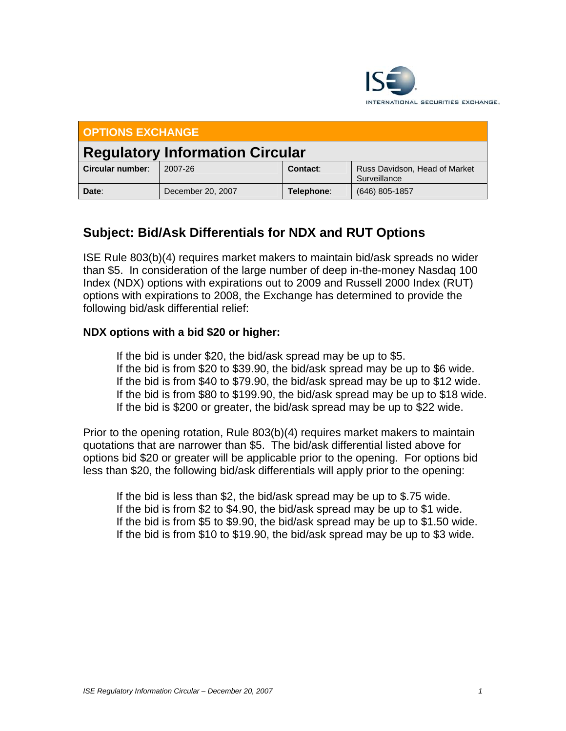

| <b>OPTIONS EXCHANGE</b>                |                   |            |                                               |
|----------------------------------------|-------------------|------------|-----------------------------------------------|
| <b>Regulatory Information Circular</b> |                   |            |                                               |
| Circular number:                       | 2007-26           | Contact:   | Russ Davidson, Head of Market<br>Surveillance |
| Date:                                  | December 20, 2007 | Telephone: | $(646)$ 805-1857                              |

## **Subject: Bid/Ask Differentials for NDX and RUT Options**

ISE Rule 803(b)(4) requires market makers to maintain bid/ask spreads no wider than \$5. In consideration of the large number of deep in-the-money Nasdaq 100 Index (NDX) options with expirations out to 2009 and Russell 2000 Index (RUT) options with expirations to 2008, the Exchange has determined to provide the following bid/ask differential relief:

## **NDX options with a bid \$20 or higher:**

 If the bid is under \$20, the bid/ask spread may be up to \$5. If the bid is from \$20 to \$39.90, the bid/ask spread may be up to \$6 wide. If the bid is from \$40 to \$79.90, the bid/ask spread may be up to \$12 wide. If the bid is from \$80 to \$199.90, the bid/ask spread may be up to \$18 wide. If the bid is \$200 or greater, the bid/ask spread may be up to \$22 wide.

Prior to the opening rotation, Rule 803(b)(4) requires market makers to maintain quotations that are narrower than \$5. The bid/ask differential listed above for options bid \$20 or greater will be applicable prior to the opening. For options bid less than \$20, the following bid/ask differentials will apply prior to the opening:

 If the bid is less than \$2, the bid/ask spread may be up to \$.75 wide. If the bid is from \$2 to \$4.90, the bid/ask spread may be up to \$1 wide. If the bid is from \$5 to \$9.90, the bid/ask spread may be up to \$1.50 wide. If the bid is from \$10 to \$19.90, the bid/ask spread may be up to \$3 wide.